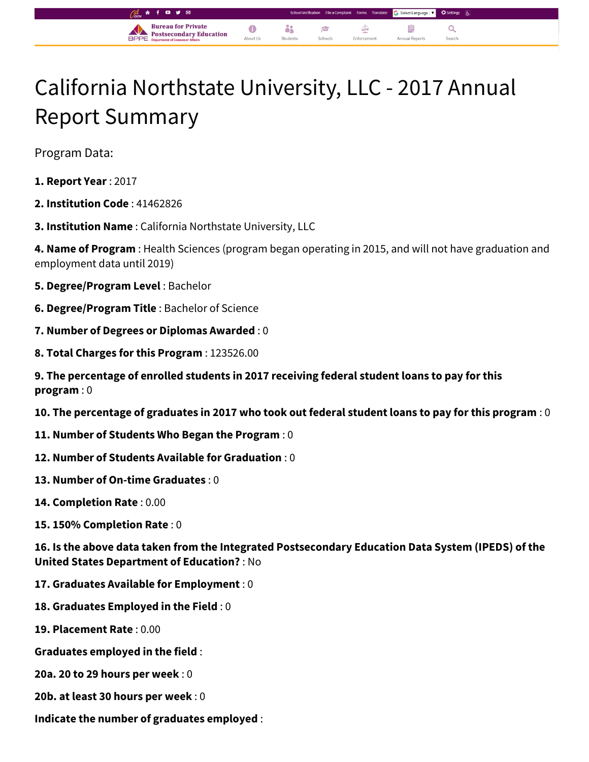## California Northstate University, LLC - 2017 Annual Report Summary

å\$

 $\epsilon$ 

 $\bullet$ 

About Us

G Select Language |  $\blacktriangledown$ 

Q

自

**Annual Report** 

⊄

Enforcement

Program Data:

- **1. Report Year** : 2017
- **2. Institution Code** : 41462826
- **3. Institution Name** : California Northstate University, LLC

**Bureau for Private** 

**Postsecondary Education** 

**4. Name of Program** : Health Sciences (program began operating in 2015, and will not have graduation and employment data until 2019)

- **5. Degree/Program Level** : Bachelor
- **6. Degree/Program Title** : Bachelor of Science
- **7. Number of Degrees or Diplomas Awarded** : 0
- **8. Total Charges for this Program** : 123526.00
- **9. The percentage of enrolled students in 2017 receiving federal student loans to pay for this program** : 0
- **10. The percentage of graduates in 2017 who took out federal student loans to pay for this program** : 0
- **11. Number of Students Who Began the Program** : 0
- **12. Number of Students Available for Graduation** : 0
- **13. Number of On-time Graduates** : 0
- **14. Completion Rate** : 0.00
- **15. 150% Completion Rate** : 0

**16. Is the above data taken from the Integrated Postsecondary Education Data System (IPEDS) of the United States Department of Education?** : No

- **17. Graduates Available for Employment** : 0
- **18. Graduates Employed in the Field** : 0
- **19. Placement Rate** : 0.00
- **Graduates employed in the field** :
- **20a. 20 to 29 hours per week** : 0
- **20b. at least 30 hours per week** : 0
- **Indicate the number of graduates employed** :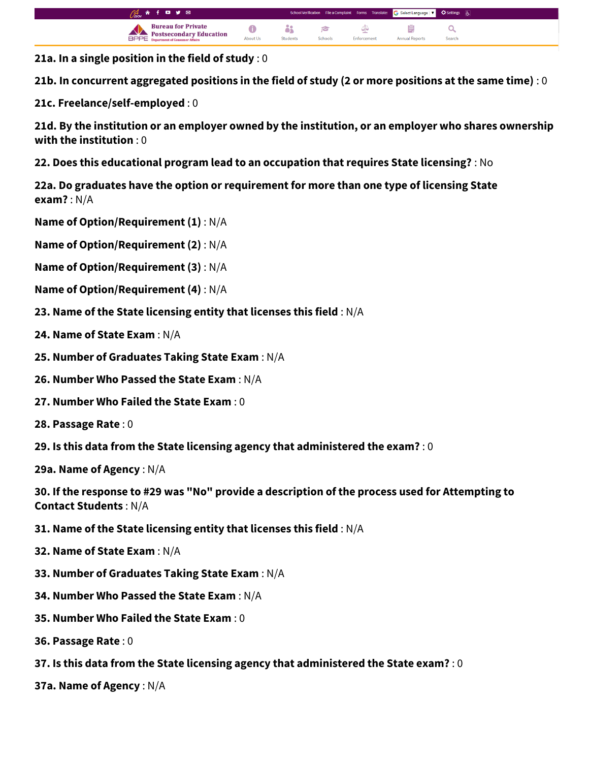

**21a. In a single position in the field of study** : 0

**21b. In concurrent aggregated positions in the field of study (2 or more positions at the same time)** : 0

**21c. Freelance/self-employed** : 0

**21d. By the institution or an employer owned by the institution, or an employer who shares ownership with the institution** : 0

**22. Does this educational program lead to an occupation that requires State licensing?** : No

**22a. Do graduates have the option or requirement for more than one type of licensing State exam?** : N/A

**Name of Option/Requirement (1)** : N/A

**Name of Option/Requirement (2)** : N/A

**Name of Option/Requirement (3)** : N/A

- **Name of Option/Requirement (4)** : N/A
- **23. Name of the State licensing entity that licenses this field** : N/A
- **24. Name of State Exam** : N/A
- **25. Number of Graduates Taking State Exam** : N/A
- **26. Number Who Passed the State Exam** : N/A
- **27. Number Who Failed the State Exam** : 0
- **28. Passage Rate** : 0
- **29. Is this data from the State licensing agency that administered the exam?** : 0

**29a. Name of Agency** : N/A

**30. If the response to #29 was "No" provide a description of the process used for Attempting to Contact Students** : N/A

- **31. Name of the State licensing entity that licenses this field** : N/A
- **32. Name of State Exam** : N/A
- **33. Number of Graduates Taking State Exam** : N/A
- **34. Number Who Passed the State Exam** : N/A
- **35. Number Who Failed the State Exam** : 0
- **36. Passage Rate** : 0
- **37. Is this data from the State licensing agency that administered the State exam?** : 0
- **37a. Name of Agency** : N/A